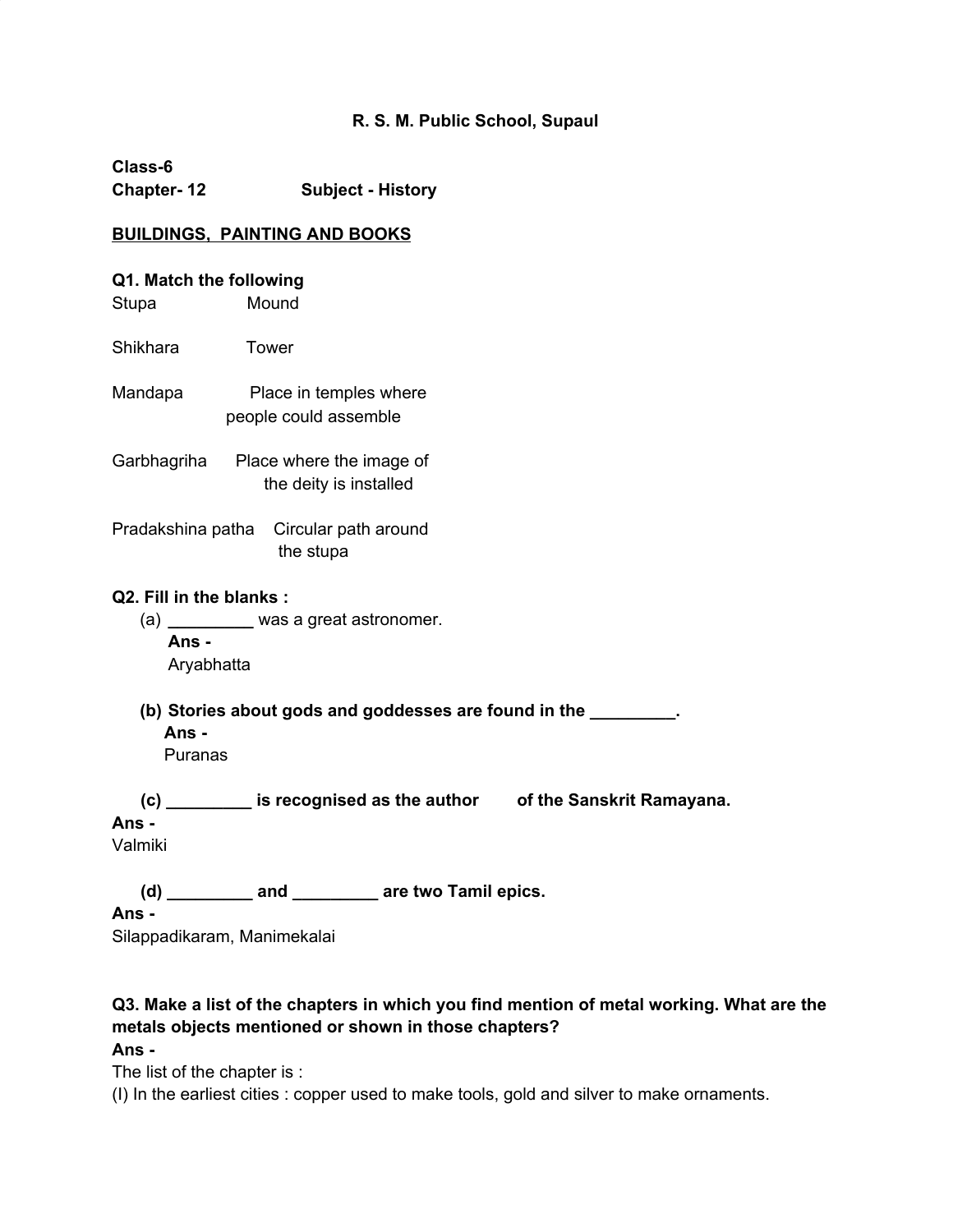#### **R. S. M. Public School, Supaul**

**Class-6 Chapter- 12 Subject - History**

#### **BUILDINGS, PAINTING AND BOOKS**

# **Q1. Match the following**

Stupa Mound

Shikhara Tower

Mandapa Place in temples where people could assemble

Garbhagriha Place where the image of the deity is installed

Pradakshina patha Circular path around the stupa

#### **Q2. Fill in the blanks :**

- (a) **\_\_\_\_\_\_\_\_\_** was a great astronomer. **Ans -** Aryabhatta
- **(b) Stories about gods and goddesses are found in the \_\_\_\_\_\_\_\_\_. Ans -**

Puranas

**(c) \_\_\_\_\_\_\_\_\_ is recognised as the author of the Sanskrit Ramayana.**

#### **Ans -**

Valmiki

**(d) \_\_\_\_\_\_\_\_\_ and \_\_\_\_\_\_\_\_\_ are two Tamil epics.**

**Ans -**

Silappadikaram, Manimekalai

# **Q3. Make a list of the chapters in which you find mention of metal working. What are the metals objects mentioned or shown in those chapters?**

#### **Ans -**

The list of the chapter is :

(I) In the earliest cities : copper used to make tools, gold and silver to make ornaments.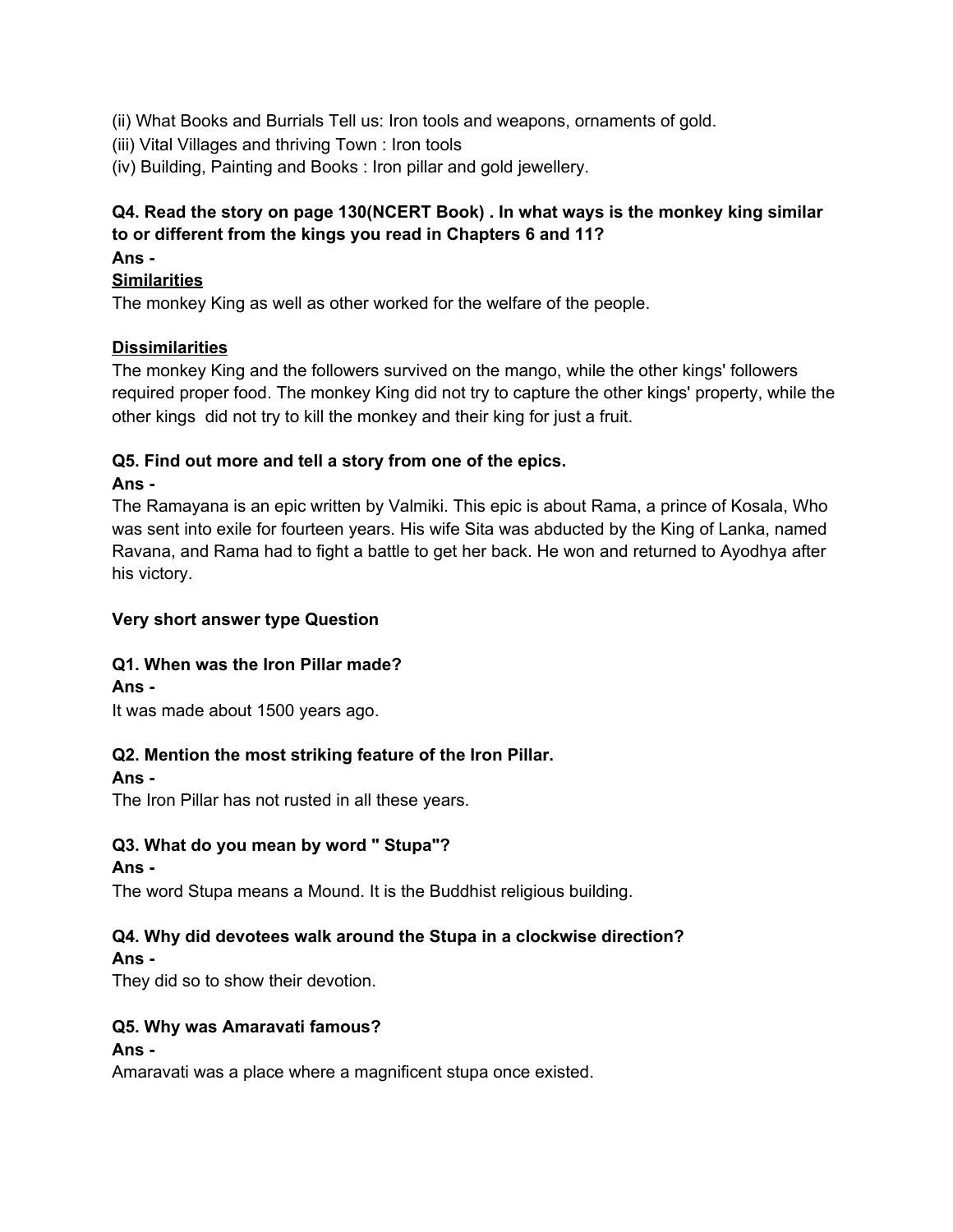- (ii) What Books and Burrials Tell us: Iron tools and weapons, ornaments of gold.
- (iii) Vital Villages and thriving Town : Iron tools
- (iv) Building, Painting and Books : Iron pillar and gold jewellery.

# **Q4. Read the story on page 130(NCERT Book) . In what ways is the monkey king similar to or different from the kings you read in Chapters 6 and 11?**

#### **Ans -**

#### **Similarities**

The monkey King as well as other worked for the welfare of the people.

#### **Dissimilarities**

The monkey King and the followers survived on the mango, while the other kings' followers required proper food. The monkey King did not try to capture the other kings' property, while the other kings did not try to kill the monkey and their king for just a fruit.

#### **Q5. Find out more and tell a story from one of the epics.**

#### **Ans -**

The Ramayana is an epic written by Valmiki. This epic is about Rama, a prince of Kosala, Who was sent into exile for fourteen years. His wife Sita was abducted by the King of Lanka, named Ravana, and Rama had to fight a battle to get her back. He won and returned to Ayodhya after his victory.

#### **Very short answer type Question**

# **Q1. When was the Iron Pillar made?**

# **Ans -**

It was made about 1500 years ago.

# **Q2. Mention the most striking feature of the Iron Pillar.**

# **Ans -**

The Iron Pillar has not rusted in all these years.

# **Q3. What do you mean by word " Stupa"?**

#### **Ans -**

The word Stupa means a Mound. It is the Buddhist religious building.

# **Q4. Why did devotees walk around the Stupa in a clockwise direction?**

#### **Ans -**

They did so to show their devotion.

# **Q5. Why was Amaravati famous?**

# **Ans -**

Amaravati was a place where a magnificent stupa once existed.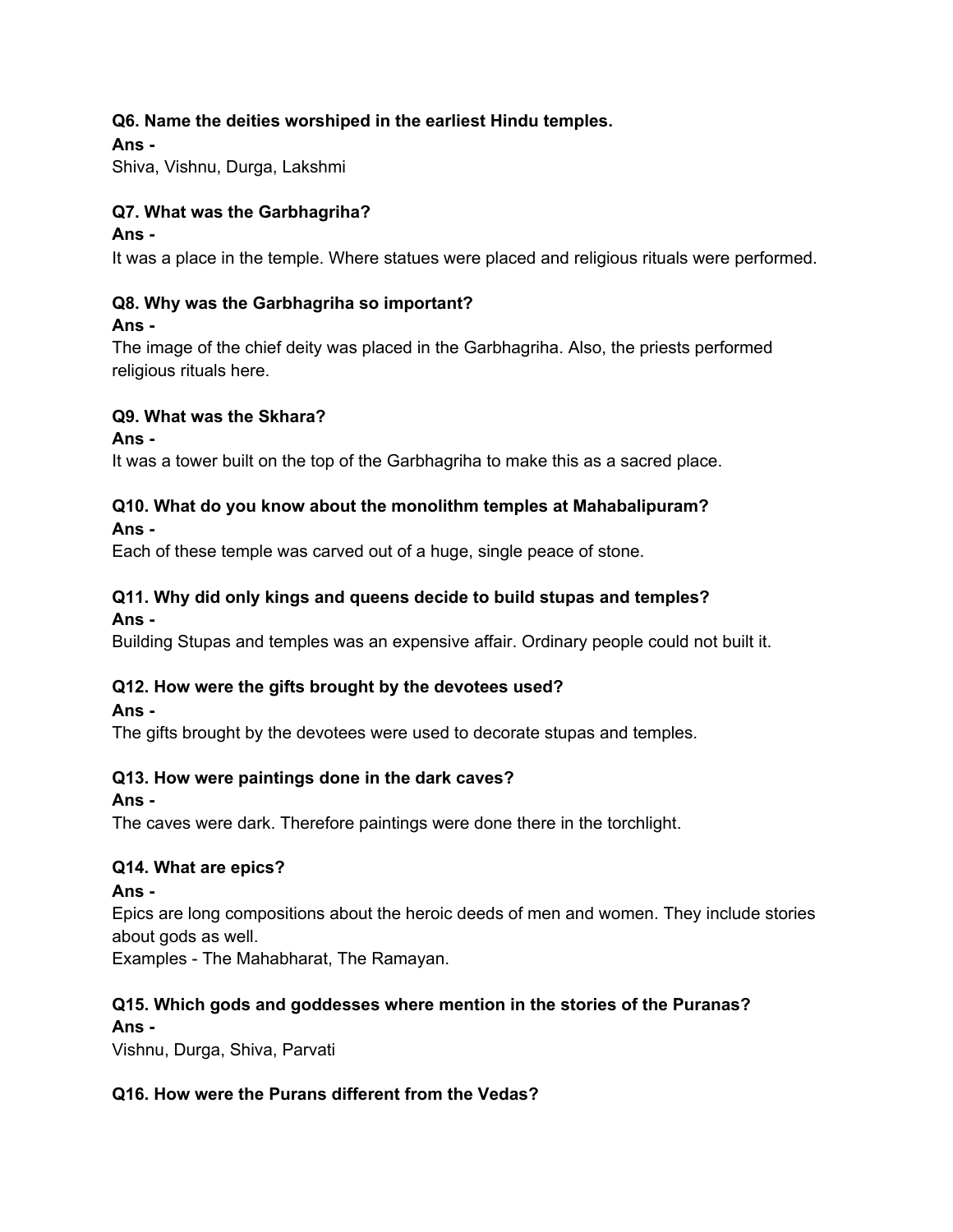# **Q6. Name the deities worshiped in the earliest Hindu temples.**

**Ans -**

Shiva, Vishnu, Durga, Lakshmi

# **Q7. What was the Garbhagriha?**

#### **Ans -**

It was a place in the temple. Where statues were placed and religious rituals were performed.

# **Q8. Why was the Garbhagriha so important?**

#### **Ans -**

The image of the chief deity was placed in the Garbhagriha. Also, the priests performed religious rituals here.

# **Q9. What was the Skhara?**

#### **Ans -**

It was a tower built on the top of the Garbhagriha to make this as a sacred place.

# **Q10. What do you know about the monolithm temples at Mahabalipuram?**

# **Ans -**

Each of these temple was carved out of a huge, single peace of stone.

# **Q11. Why did only kings and queens decide to build stupas and temples?**

# **Ans -**

Building Stupas and temples was an expensive affair. Ordinary people could not built it.

# **Q12. How were the gifts brought by the devotees used?**

# **Ans -**

The gifts brought by the devotees were used to decorate stupas and temples.

# **Q13. How were paintings done in the dark caves?**

# **Ans -**

The caves were dark. Therefore paintings were done there in the torchlight.

# **Q14. What are epics?**

**Ans -**

Epics are long compositions about the heroic deeds of men and women. They include stories about gods as well.

Examples - The Mahabharat, The Ramayan.

# **Q15. Which gods and goddesses where mention in the stories of the Puranas?**

# **Ans -**

Vishnu, Durga, Shiva, Parvati

# **Q16. How were the Purans different from the Vedas?**